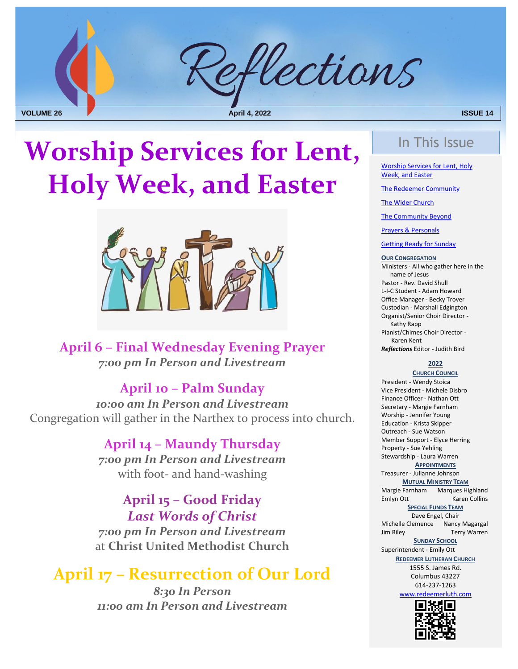

# Worship Services for Lent, **Lend Access 1974 Holy Week, and Easter**



**April 6 – Final Wednesday Evening Prayer** *7:00 pm In Person and Livestream*

#### **April 10 – Palm Sunday**

*10:00 am In Person and Livestream* Congregation will gather in the Narthex to process into church.

> **April 14 – Maundy Thursday** *7:00 pm In Person and Livestream* with foot- and hand-washing

**April 15 – Good Friday** *Last Words of Christ 7:00 pm In Person and Livestream* at **Christ United Methodist Church**

### <span id="page-0-0"></span>**April 17 – Resurrection of Our Lord**

*8:30 In Person 11:00 am In Person and Livestream*

Worship Services for Lent, Holy Week, and Easter

[The Redeemer Community](#page-1-0)

[The Wider Church](#page-5-0)

[The Community Beyond](#page-5-0)

[Prayers & Personals](#page-4-0)

[Getting Ready for Sunday](#page-0-0)

#### **OUR CONGREGATION**

Ministers - All who gather here in the name of Jesus Pastor - Rev. David Shull L-I-C Student - Adam Howard Office Manager - Becky Trover Custodian - Marshall Edgington Organist/Senior Choir Director - Kathy Rapp Pianist/Chimes Choir Director - Karen Kent *Reflections* Editor - Judith Bird

#### **2022**

**CHURCH COUNCIL** President - Wendy Stoica Vice President - Michele Disbro Finance Officer - Nathan Ott Secretary - Margie Farnham Worship - Jennifer Young Education - Krista Skipper Outreach - Sue Watson Member Support - Elyce Herring Property - Sue Yehling Stewardship - Laura Warren

#### **APPOINTMENTS**

Treasurer - Julianne Johnson **MUTUAL MINISTRY TEAM** Margie Farnham Marques Highland

Emlyn Ott Karen Collins **SPECIAL FUNDS TEAM** 

Dave Engel, Chair Michelle Clemence Nancy Magargal Jim Riley Terry Warren

#### **SUNDAY SCHOOL**

Superintendent - Emily Ott

**REDEEMER LUTHERAN CHURCH**

1555 S. James Rd. Columbus 43227 614-237-1263

[www.redeemerluth.com](http://www.redeemerluth.com/)

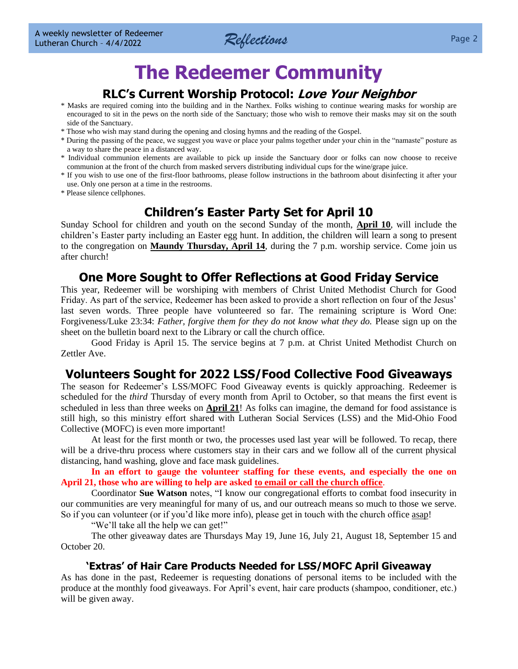

### **The Redeemer Community**

#### **RLC's Current Worship Protocol: Love Your Neighbor**

- <span id="page-1-0"></span>\* Masks are required coming into the building and in the Narthex. Folks wishing to continue wearing masks for worship are encouraged to sit in the pews on the north side of the Sanctuary; those who wish to remove their masks may sit on the south side of the Sanctuary.
- \* Those who wish may stand during the opening and closing hymns and the reading of the Gospel.
- \* During the passing of the peace, we suggest you wave or place your palms together under your chin in the "namaste" posture as a way to share the peace in a distanced way.
- \* Individual communion elements are available to pick up inside the Sanctuary door or folks can now choose to receive communion at the front of the church from masked servers distributing individual cups for the wine/grape juice.
- \* If you wish to use one of the first-floor bathrooms, please follow instructions in the bathroom about disinfecting it after your use. Only one person at a time in the restrooms.
- \* Please silence cellphones.

#### **Children's Easter Party Set for April 10**

Sunday School for children and youth on the second Sunday of the month, **April 10**, will include the children's Easter party including an Easter egg hunt. In addition, the children will learn a song to present to the congregation on **Maundy Thursday, April 14**, during the 7 p.m. worship service. Come join us after church!

#### **One More Sought to Offer Reflections at Good Friday Service**

This year, Redeemer will be worshiping with members of Christ United Methodist Church for Good Friday. As part of the service, Redeemer has been asked to provide a short reflection on four of the Jesus' last seven words. Three people have volunteered so far. The remaining scripture is Word One: Forgiveness/Luke 23:34: *Father, forgive them for they do not know what they do.* Please sign up on the sheet on the bulletin board next to the Library or call the church office.

Good Friday is April 15. The service begins at 7 p.m. at Christ United Methodist Church on Zettler Ave.

#### **Volunteers Sought for 2022 LSS/Food Collective Food Giveaways**

The season for Redeemer's LSS/MOFC Food Giveaway events is quickly approaching. Redeemer is scheduled for the *third* Thursday of every month from April to October, so that means the first event is scheduled in less than three weeks on **April 21**! As folks can imagine, the demand for food assistance is still high, so this ministry effort shared with Lutheran Social Services (LSS) and the Mid-Ohio Food Collective (MOFC) is even more important!

At least for the first month or two, the processes used last year will be followed. To recap, there will be a drive-thru process where customers stay in their cars and we follow all of the current physical distancing, hand washing, glove and face mask guidelines.

**In an effort to gauge the volunteer staffing for these events, and especially the one on April 21, those who are willing to help are asked to email or call the church office**.

Coordinator **Sue Watson** notes, "I know our congregational efforts to combat food insecurity in our communities are very meaningful for many of us, and our outreach means so much to those we serve. So if you can volunteer (or if you'd like more info), please get in touch with the church office asap!

"We'll take all the help we can get!"

The other giveaway dates are Thursdays May 19, June 16, July 21, August 18, September 15 and October 20.

#### **'Extras' of Hair Care Products Needed for LSS/MOFC April Giveaway**

As has done in the past, Redeemer is requesting donations of personal items to be included with the produce at the monthly food giveaways. For April's event, hair care products (shampoo, conditioner, etc.) will be given away.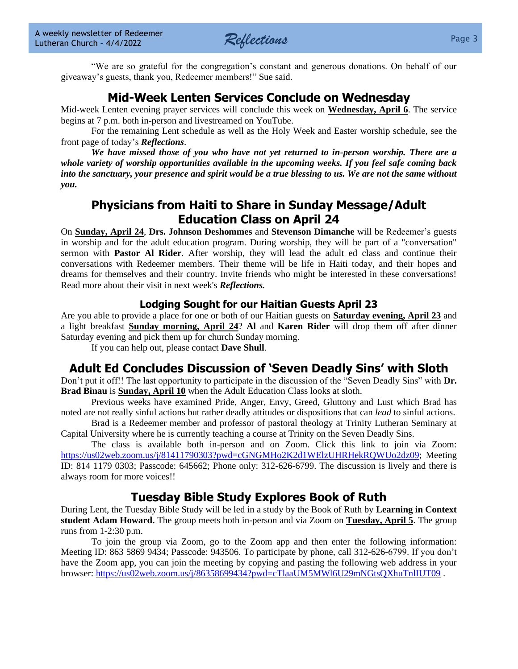

"We are so grateful for the congregation's constant and generous donations. On behalf of our giveaway's guests, thank you, Redeemer members!" Sue said.

#### **Mid-Week Lenten Services Conclude on Wednesday**

Mid-week Lenten evening prayer services will conclude this week on **Wednesday, April 6**. The service begins at 7 p.m. both in-person and livestreamed on YouTube.

For the remaining Lent schedule as well as the Holy Week and Easter worship schedule, see the front page of today's *Reflections*.

*We have missed those of you who have not yet returned to in-person worship. There are a whole variety of worship opportunities available in the upcoming weeks. If you feel safe coming back into the sanctuary, your presence and spirit would be a true blessing to us. We are not the same without you.*

#### **Physicians from Haiti to Share in Sunday Message/Adult Education Class on April 24**

On **Sunday, April 24**, **Drs. Johnson Deshommes** and **Stevenson Dimanche** will be Redeemer's guests in worship and for the adult education program. During worship, they will be part of a "conversation" sermon with **Pastor Al Rider**. After worship, they will lead the adult ed class and continue their conversations with Redeemer members. Their theme will be life in Haiti today, and their hopes and dreams for themselves and their country. Invite friends who might be interested in these conversations! Read more about their visit in next week's *Reflections.*

#### **Lodging Sought for our Haitian Guests April 23**

Are you able to provide a place for one or both of our Haitian guests on **Saturday evening, April 23** and a light breakfast **Sunday morning, April 24**? **Al** and **Karen Rider** will drop them off after dinner Saturday evening and pick them up for church Sunday morning.

If you can help out, please contact **Dave Shull**.

#### **Adult Ed Concludes Discussion of 'Seven Deadly Sins' with Sloth**

Don't put it off!! The last opportunity to participate in the discussion of the "Seven Deadly Sins" with **Dr. Brad Binau** is **Sunday, April 10** when the Adult Education Class looks at sloth.

Previous weeks have examined Pride, Anger, Envy, Greed, Gluttony and Lust which Brad has noted are not really sinful actions but rather deadly attitudes or dispositions that can *lead* to sinful actions.

Brad is a Redeemer member and professor of pastoral theology at Trinity Lutheran Seminary at Capital University where he is currently teaching a course at Trinity on the Seven Deadly Sins.

The class is available both in-person and on Zoom. Click this link to join via Zoom: [https://us02web.zoom.us/j/81411790303?pwd=cGNGMHo2K2d1WElzUHRHekRQWUo2dz09;](https://us02web.zoom.us/j/81411790303?pwd=cGNGMHo2K2d1WElzUHRHekRQWUo2dz09) Meeting ID: 814 1179 0303; Passcode: 645662; Phone only: 312-626-6799. The discussion is lively and there is always room for more voices!!

#### **Tuesday Bible Study Explores Book of Ruth**

During Lent, the Tuesday Bible Study will be led in a study by the Book of Ruth by **Learning in Context student Adam Howard.** The group meets both in-person and via Zoom on **Tuesday, April 5**. The group runs from 1-2:30 p.m.

To join the group via Zoom, go to the Zoom app and then enter the following information: Meeting ID: 863 5869 9434; Passcode: 943506. To participate by phone, call 312-626-6799. If you don't have the Zoom app, you can join the meeting by copying and pasting the following web address in your browser:<https://us02web.zoom.us/j/86358699434?pwd=cTlaaUM5MWl6U29mNGtsQXhuTnlIUT09> .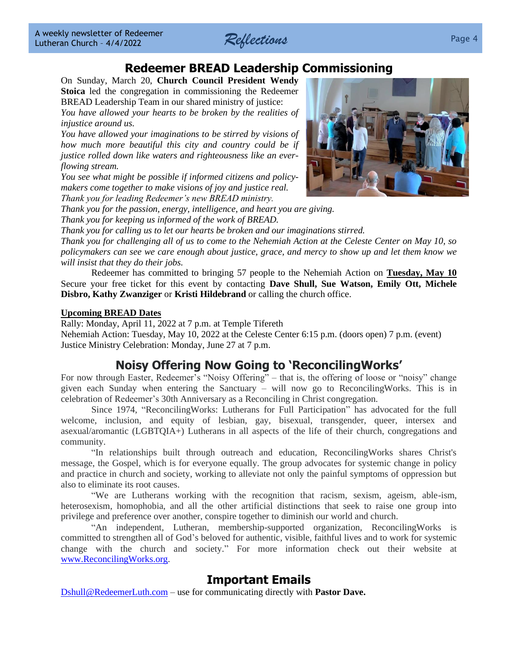

#### **Redeemer BREAD Leadership Commissioning**

On Sunday, March 20, **Church Council President Wendy Stoica** led the congregation in commissioning the Redeemer BREAD Leadership Team in our shared ministry of justice:

*You have allowed your hearts to be broken by the realities of injustice around us.*

*You have allowed your imaginations to be stirred by visions of how much more beautiful this city and country could be if justice rolled down like waters and righteousness like an everflowing stream.*

*You see what might be possible if informed citizens and policymakers come together to make visions of joy and justice real. Thank you for leading Redeemer's new BREAD ministry.*



*Thank you for the passion, energy, intelligence, and heart you are giving. Thank you for keeping us informed of the work of BREAD.*

*Thank you for calling us to let our hearts be broken and our imaginations stirred.*

*Thank you for challenging all of us to come to the Nehemiah Action at the Celeste Center on May 10, so policymakers can see we care enough about justice, grace, and mercy to show up and let them know we will insist that they do their jobs.*

Redeemer has committed to bringing 57 people to the Nehemiah Action on **Tuesday, May 10** Secure your free ticket for this event by contacting **Dave Shull, Sue Watson, Emily Ott, Michele Disbro, Kathy Zwanziger** or **Kristi Hildebrand** or calling the church office.

#### **Upcoming BREAD Dates**

Rally: Monday, April 11, 2022 at 7 p.m. at Temple Tifereth Nehemiah Action: Tuesday, May 10, 2022 at the Celeste Center 6:15 p.m. (doors open) 7 p.m. (event) Justice Ministry Celebration: Monday, June 27 at 7 p.m.

#### **Noisy Offering Now Going to 'ReconcilingWorks'**

For now through Easter, Redeemer's "Noisy Offering" – that is, the offering of loose or "noisy" change given each Sunday when entering the Sanctuary – will now go to ReconcilingWorks. This is in celebration of Redeemer's 30th Anniversary as a Reconciling in Christ congregation.

Since 1974, "ReconcilingWorks: Lutherans for Full Participation" has advocated for the full welcome, inclusion, and equity of lesbian, gay, bisexual, transgender, queer, intersex and asexual/aromantic (LGBTQIA+) Lutherans in all aspects of the life of their church, congregations and community.

"In relationships built through outreach and education, ReconcilingWorks shares Christ's message, the Gospel, which is for everyone equally. The group advocates for systemic change in policy and practice in church and society, working to alleviate not only the painful symptoms of oppression but also to eliminate its root causes.

"We are Lutherans working with the recognition that racism, sexism, ageism, able-ism, heterosexism, homophobia, and all the other artificial distinctions that seek to raise one group into privilege and preference over another, conspire together to diminish our world and church.

"An independent, Lutheran, membership-supported organization, ReconcilingWorks is committed to strengthen all of God's beloved for authentic, visible, faithful lives and to work for systemic change with the church and society." For more information check out their website at [www.ReconcilingWorks.org.](http://www.reconcilingworks.org/)

#### **Important Emails**

[Dshull@RedeemerLuth.com](mailto:DShull@RedeemerLuth.com) – use for communicating directly with **Pastor Dave.**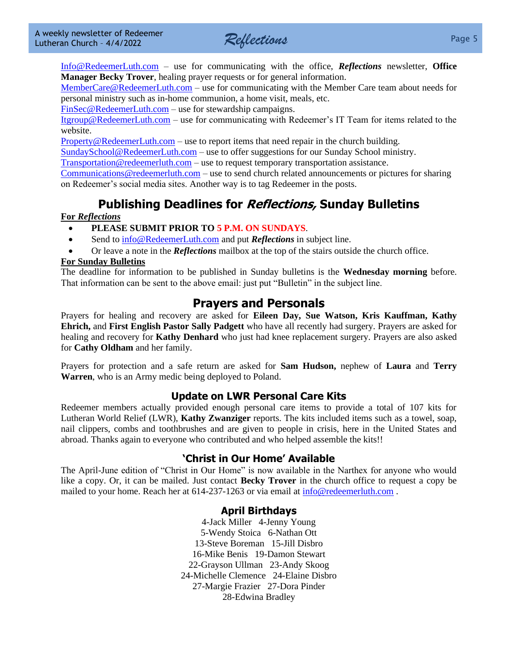

[Info@RedeemerLuth.com](mailto:Info@RedeemerLuth.com) – use for communicating with the office, *Reflections* newsletter, **Office Manager Becky Trover**, healing prayer requests or for general information.

[MemberCare@RedeemerLuth.com](mailto:MemberCare@RedeemerLuth.com) – use for communicating with the Member Care team about needs for personal ministry such as in-home communion, a home visit, meals, etc.

[FinSec@RedeemerLuth.com](mailto:FinSec@RedeemerLuth.com) – use for stewardship campaigns.

[Itgroup@RedeemerLuth.com](mailto:ITgroup@RedeemerLuth.com) – use for communicating with Redeemer's IT Team for items related to the website.

[Property@RedeemerLuth.com](mailto:Property@RedeemerLuth.com) – use to report items that need repair in the church building.

[SundaySchool@RedeemerLuth.com](mailto:SundaySchool@RedeemerLuth.com) – use to offer suggestions for our Sunday School ministry.

[Transportation@redeemerluth.com](mailto:Transportation@redeemerluth.com) – use to request temporary transportation assistance.

[Communications@redeemerluth.com](mailto:Communications@redeemerluth.com) – use to send church related announcements or pictures for sharing on Redeemer's social media sites. Another way is to tag Redeemer in the posts.

#### **Publishing Deadlines for Reflections, Sunday Bulletins**

#### **For** *Reflections*

- **PLEASE SUBMIT PRIOR TO 5 P.M. ON SUNDAYS**.
- Send to  $info@RedeemerLuth.com$  and put *Reflections* in subject line.
- Or leave a note in the *Reflections* mailbox at the top of the stairs outside the church office.

#### **For Sunday Bulletins**

The deadline for information to be published in Sunday bulletins is the **Wednesday morning** before. That information can be sent to the above email: just put "Bulletin" in the subject line.

#### <span id="page-4-0"></span>**Prayers and Personals**

Prayers for healing and recovery are asked for **Eileen Day, Sue Watson, Kris Kauffman, Kathy Ehrich,** and **First English Pastor Sally Padgett** who have all recently had surgery. Prayers are asked for healing and recovery for **Kathy Denhard** who just had knee replacement surgery. Prayers are also asked for **Cathy Oldham** and her family.

Prayers for protection and a safe return are asked for **Sam Hudson,** nephew of **Laura** and **Terry Warren**, who is an Army medic being deployed to Poland.

#### **Update on LWR Personal Care Kits**

Redeemer members actually provided enough personal care items to provide a total of 107 kits for Lutheran World Relief (LWR), **Kathy Zwanziger** reports. The kits included items such as a towel, soap, nail clippers, combs and toothbrushes and are given to people in crisis, here in the United States and abroad. Thanks again to everyone who contributed and who helped assemble the kits!!

#### **'Christ in Our Home' Available**

The April-June edition of "Christ in Our Home" is now available in the Narthex for anyone who would like a copy. Or, it can be mailed. Just contact **Becky Trover** in the church office to request a copy be mailed to your home. Reach her at 614-237-1263 or via email at [info@redeemerluth.com](mailto:info@redeemerluth.com) .

#### **April Birthdays**

4-Jack Miller 4-Jenny Young 5-Wendy Stoica 6-Nathan Ott 13-Steve Boreman 15-Jill Disbro 16-Mike Benis 19-Damon Stewart 22-Grayson Ullman 23-Andy Skoog 24-Michelle Clemence 24-Elaine Disbro 27-Margie Frazier 27-Dora Pinder 28-Edwina Bradley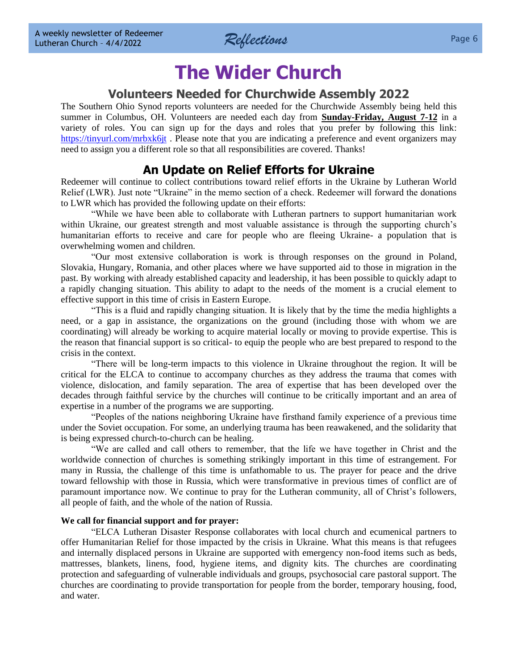

### **The Wider Church**

#### **Volunteers Needed for Churchwide Assembly 2022**

<span id="page-5-0"></span>The Southern Ohio Synod reports volunteers are needed for the Churchwide Assembly being held this summer in Columbus, OH. Volunteers are needed each day from **Sunday-Friday, August 7-12** in a variety of roles. You can sign up for the days and roles that you prefer by following this link: <https://tinyurl.com/mrbxk6jt>. Please note that you are indicating a preference and event organizers may need to assign you a different role so that all responsibilities are covered. Thanks!

#### **An Update on Relief Efforts for Ukraine**

Redeemer will continue to collect contributions toward relief efforts in the Ukraine by Lutheran World Relief (LWR). Just note "Ukraine" in the memo section of a check. Redeemer will forward the donations to LWR which has provided the following update on their efforts:

"While we have been able to collaborate with Lutheran partners to support humanitarian work within Ukraine, our greatest strength and most valuable assistance is through the supporting church's humanitarian efforts to receive and care for people who are fleeing Ukraine- a population that is overwhelming women and children.

"Our most extensive collaboration is work is through responses on the ground in Poland, Slovakia, Hungary, Romania, and other places where we have supported aid to those in migration in the past. By working with already established capacity and leadership, it has been possible to quickly adapt to a rapidly changing situation. This ability to adapt to the needs of the moment is a crucial element to effective support in this time of crisis in Eastern Europe.

"This is a fluid and rapidly changing situation. It is likely that by the time the media highlights a need, or a gap in assistance, the organizations on the ground (including those with whom we are coordinating) will already be working to acquire material locally or moving to provide expertise. This is the reason that financial support is so critical- to equip the people who are best prepared to respond to the crisis in the context.

"There will be long-term impacts to this violence in Ukraine throughout the region. It will be critical for the ELCA to continue to accompany churches as they address the trauma that comes with violence, dislocation, and family separation. The area of expertise that has been developed over the decades through faithful service by the churches will continue to be critically important and an area of expertise in a number of the programs we are supporting.

"Peoples of the nations neighboring Ukraine have firsthand family experience of a previous time under the Soviet occupation. For some, an underlying trauma has been reawakened, and the solidarity that is being expressed church-to-church can be healing.

"We are called and call others to remember, that the life we have together in Christ and the worldwide connection of churches is something strikingly important in this time of estrangement. For many in Russia, the challenge of this time is unfathomable to us. The prayer for peace and the drive toward fellowship with those in Russia, which were transformative in previous times of conflict are of paramount importance now. We continue to pray for the Lutheran community, all of Christ's followers, all people of faith, and the whole of the nation of Russia.

#### **We call for financial support and for prayer:**

"ELCA Lutheran Disaster Response collaborates with local church and ecumenical partners to offer Humanitarian Relief for those impacted by the crisis in Ukraine. What this means is that refugees and internally displaced persons in Ukraine are supported with emergency non-food items such as beds, mattresses, blankets, linens, food, hygiene items, and dignity kits. The churches are coordinating protection and safeguarding of vulnerable individuals and groups, psychosocial care pastoral support. The churches are coordinating to provide transportation for people from the border, temporary housing, food, and water.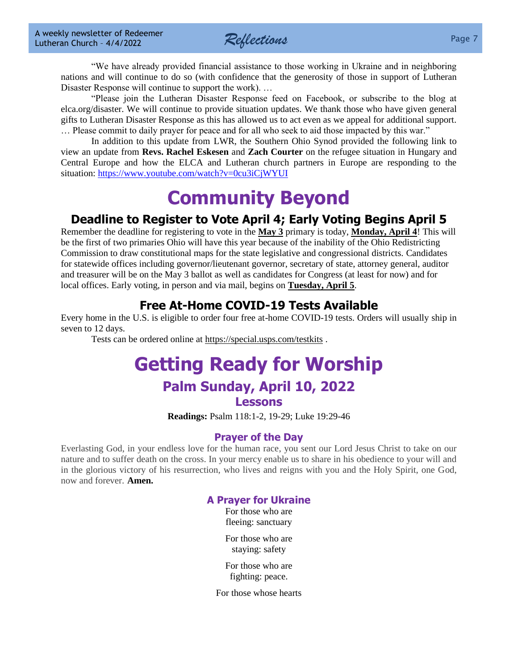*Reflections* Page 7

"We have already provided financial assistance to those working in Ukraine and in neighboring nations and will continue to do so (with confidence that the generosity of those in support of Lutheran Disaster Response will continue to support the work). …

"Please join the Lutheran Disaster Response feed on Facebook, or subscribe to the blog at elca.org/disaster. We will continue to provide situation updates. We thank those who have given general gifts to Lutheran Disaster Response as this has allowed us to act even as we appeal for additional support. … Please commit to daily prayer for peace and for all who seek to aid those impacted by this war."

In addition to this update from LWR, the Southern Ohio Synod provided the following link to view an update from **Revs. Rachel Eskesen** and **Zach Courter** on the refugee situation in Hungary and Central Europe and how the ELCA and Lutheran church partners in Europe are responding to the situation[: https://www.youtube.com/watch?v=0cu3iCjWYUI](https://www.youtube.com/watch?v=0cu3iCjWYUI)

## **Community Beyond**

#### **Deadline to Register to Vote April 4; Early Voting Begins April 5**

Remember the deadline for registering to vote in the **May 3** primary is today, **Monday, April 4**! This will be the first of two primaries Ohio will have this year because of the inability of the Ohio Redistricting Commission to draw constitutional maps for the state legislative and congressional districts. Candidates for statewide offices including governor/lieutenant governor, secretary of state, attorney general, auditor and treasurer will be on the May 3 ballot as well as candidates for Congress (at least for now) and for local offices. Early voting, in person and via mail, begins on **Tuesday, April 5**.

### **Free At-Home COVID-19 Tests Available**

Every home in the U.S. is eligible to order four free at-home COVID-19 tests. Orders will usually ship in seven to 12 days.

Tests can be ordered online at<https://special.usps.com/testkits> .

### **[Getting Ready for W](file:///D:/Users/Marcene%20Mounts/Documents/2019%20REFLECTIONS/Vol.%2023-49%2012-9-2019%20Draft.docx%23GettingReadyforSunday)orship Palm Sunday, April 10, 2022**

#### **Lessons**

**Readings:** Psalm 118:1-2, 19-29; Luke 19:29-46

#### **Prayer of the Day**

Everlasting God, in your endless love for the human race, you sent our Lord Jesus Christ to take on our nature and to suffer death on the cross. In your mercy enable us to share in his obedience to your will and in the glorious victory of his resurrection, who lives and reigns with you and the Holy Spirit, one God, now and forever. **Amen.**

#### **A Prayer for Ukraine**

For those who are fleeing: sanctuary

For those who are staying: safety

For those who are fighting: peace.

For those whose hearts